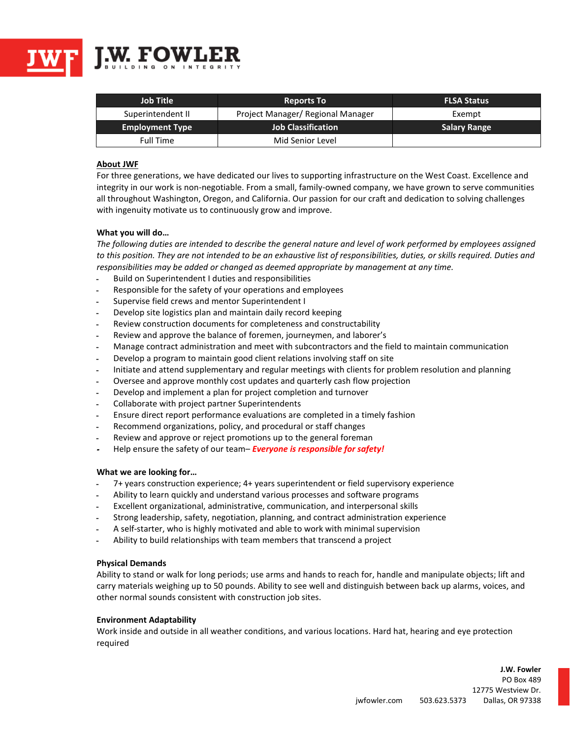

| <b>Job Title</b>       | <b>Reports To</b>                 | <b>FLSA Status</b>  |
|------------------------|-----------------------------------|---------------------|
| Superintendent II      | Project Manager/ Regional Manager | Exempt              |
| <b>Employment Type</b> | <b>Job Classification</b>         | <b>Salary Range</b> |
| Full Time              | Mid Senior Level                  |                     |

# **About JWF**

For three generations, we have dedicated our lives to supporting infrastructure on the West Coast. Excellence and integrity in our work is non-negotiable. From a small, family-owned company, we have grown to serve communities all throughout Washington, Oregon, and California. Our passion for our craft and dedication to solving challenges with ingenuity motivate us to continuously grow and improve.

## **What you will do…**

*The following duties are intended to describe the general nature and level of work performed by employees assigned to this position. They are not intended to be an exhaustive list of responsibilities, duties, or skills required. Duties and responsibilities may be added or changed as deemed appropriate by management at any time.*

- ـ Build on Superintendent I duties and responsibilities
- ـ Responsible for the safety of your operations and employees
- ـ Supervise field crews and mentor Superintendent I
- ـ Develop site logistics plan and maintain daily record keeping
- ـ Review construction documents for completeness and constructability
- ـ Review and approve the balance of foremen, journeymen, and laborer's
- ـ Manage contract administration and meet with subcontractors and the field to maintain communication
- ـ Develop a program to maintain good client relations involving staff on site
- ـ Initiate and attend supplementary and regular meetings with clients for problem resolution and planning
- ـ Oversee and approve monthly cost updates and quarterly cash flow projection
- ـ Develop and implement a plan for project completion and turnover
- ـ Collaborate with project partner Superintendents
- ـ Ensure direct report performance evaluations are completed in a timely fashion
- ـ Recommend organizations, policy, and procedural or staff changes
- ـ Review and approve or reject promotions up to the general foreman
- **<sup>ـ</sup>** Help ensure the safety of our team– *Everyone is responsible for safety!*

## **What we are looking for…**

- ـ 7+ years construction experience; 4+ years superintendent or field supervisory experience
- ـ Ability to learn quickly and understand various processes and software programs
- ـ Excellent organizational, administrative, communication, and interpersonal skills
- ـ Strong leadership, safety, negotiation, planning, and contract administration experience
- ـ A self-starter, who is highly motivated and able to work with minimal supervision
- ـ Ability to build relationships with team members that transcend a project

## **Physical Demands**

Ability to stand or walk for long periods; use arms and hands to reach for, handle and manipulate objects; lift and carry materials weighing up to 50 pounds. Ability to see well and distinguish between back up alarms, voices, and other normal sounds consistent with construction job sites.

## **Environment Adaptability**

Work inside and outside in all weather conditions, and various locations. Hard hat, hearing and eye protection required